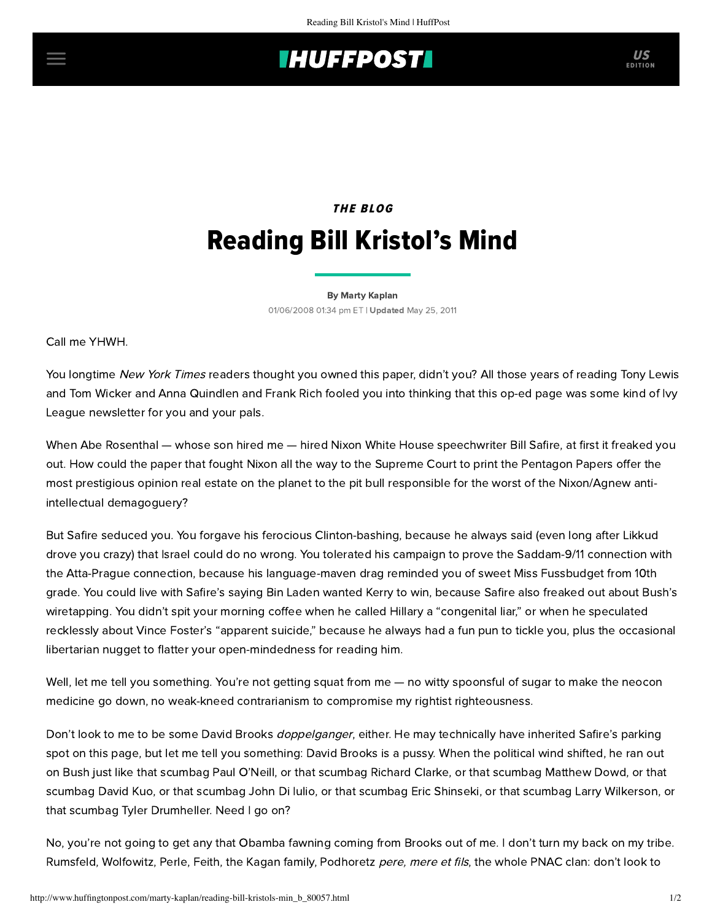## **INUFFPOSTI** US

## THE BLOG Reading Bill Kristol's Mind

[By Marty Kaplan](http://www.huffingtonpost.com/author/marty-kaplan) 01/06/2008 01:34 pm ET | Updated May 25, 2011

Call me YHWH.

You longtime New York Times readers thought you owned this paper, didn't you? All those years of reading Tony Lewis and Tom Wicker and Anna Quindlen and Frank Rich fooled you into thinking that this op-ed page was some kind of Ivy League newsletter for you and your pals.

When Abe Rosenthal — whose son hired me — hired Nixon White House speechwriter Bill Safire, at first it freaked you out. How could the paper that fought Nixon all the way to the Supreme Court to print the Pentagon Papers offer the most prestigious opinion real estate on the planet to the pit bull responsible for the worst of the Nixon/Agnew antiintellectual demagoguery?

But Safire seduced you. You forgave his ferocious Clinton-bashing, because he always said (even long after Likkud drove you crazy) that Israel could do no wrong. You tolerated his campaign to prove the Saddam-9/11 connection with the Atta-Prague connection, because his language-maven drag reminded you of sweet Miss Fussbudget from 10th grade. You could live with Safire's saying Bin Laden wanted Kerry to win, because Safire also freaked out about Bush's wiretapping. You didn't spit your morning coffee when he called Hillary a "congenital liar," or when he speculated recklessly about Vince Foster's "apparent suicide," because he always had a fun pun to tickle you, plus the occasional libertarian nugget to flatter your open-mindedness for reading him.

Well, let me tell you something. You're not getting squat from me — no witty spoonsful of sugar to make the neocon medicine go down, no weak-kneed contrarianism to compromise my rightist righteousness.

Don't look to me to be some David Brooks *doppelganger*, either. He may technically have inherited Safire's parking spot on this page, but let me tell you something: David Brooks is a pussy. When the political wind shifted, he ran out on Bush just like that scumbag Paul O'Neill, or that scumbag Richard Clarke, or that scumbag Matthew Dowd, or that scumbag David Kuo, or that scumbag John Di Iulio, or that scumbag Eric Shinseki, or that scumbag Larry Wilkerson, or that scumbag Tyler Drumheller. Need I go on?

No, you're not going to get any that Obamba fawning coming from Brooks out of me. I don't turn my back on my tribe. Rumsfeld, Wolfowitz, Perle, Feith, the Kagan family, Podhoretz pere, mere et fils, the whole PNAC clan: don't look to